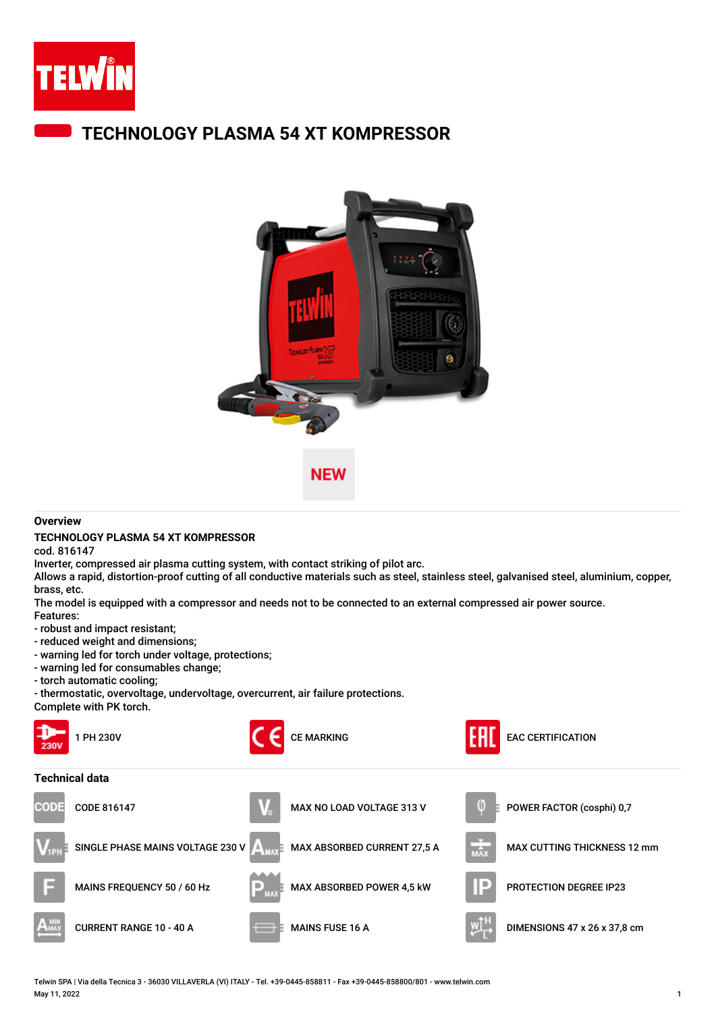

## **TECHNOLOGY PLASMA 54 XT KOMPRESSOR**



## **Overview**

## **TECHNOLOGY PLASMA 54 XT KOMPRESSOR**

cod. 816147

Inverter, compressed air plasma cutting system, with contact striking of pilot arc.

Allows a rapid, distortion-proof cutting of all conductive materials such as steel, stainless steel, galvanised steel, aluminium, copper, brass, etc.

The model is equipped with a compressor and needs not to be connected to an external compressed air power source.

- Features:
- robust and impact resistant;
- reduced weight and dimensions;
- warning led for torch under voltage, protections;
- warning led for consumables change;
- torch automatic cooling;

- thermostatic, overvoltage, undervoltage, overcurrent, air failure protections. Complete with PK torch.



Telwin SPA | Via della Tecnica 3 - 36030 VILLAVERLA (VI) ITALY - Tel. +39-0445-858811 - Fax +39-0445-858800/801 - www.telwin.com May 11, 2022 1